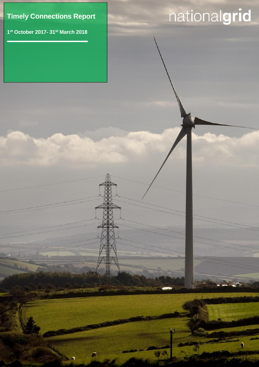## **Timely Connections Report**

Timely connection Report

<u>, п</u>

 $\Box$ 

**1 st October 2017- 31st March 2018**

# nationalgrid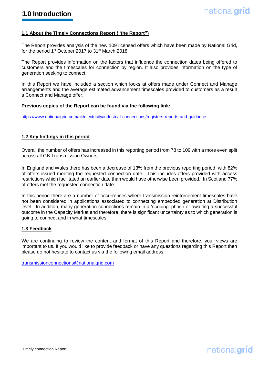#### **1.1 About the Timely Connections Report ("the Report")**

The Report provides analysis of the new 109 licensed offers which have been made by National Grid, for the period 1<sup>st</sup> October 2017 to 31<sup>st</sup> March 2018.

The Report provides information on the factors that influence the connection dates being offered to customers and the timescales for connection by region. It also provides information on the type of generation seeking to connect.

In this Report we have included a section which looks at offers made under Connect and Manage arrangements and the average estimated advancement timescales provided to customers as a result a Connect and Manage offer.

#### **Previous copies of the Report can be found via the following link:**

https://www.nationalgrid.com/uk/electricity/industrial-connections/registers-reports-and-guidance

#### **1.2 Key findings in this period**

Overall the number of offers has increased in this reporting period from 78 to 109 with a more even split across all GB Transmission Owners.

In England and Wales there has been a decrease of 13% from the previous reporting period, with 82% of offers issued meeting the requested connection date. This includes offers provided with access restrictions which facilitated an earlier date than would have otherwise been provided. In Scotland 77% of offers met the requested connection date.

In this period there are a number of occurrences where transmission reinforcement timescales have not been considered in applications associated to connecting embedded generation at Distribution level. In addition, many generation connections remain in a 'scoping' phase or awaiting a successful outcome in the Capacity Market and therefore, there is significant uncertainty as to which generation is going to connect and in what timescales.

#### **1.3 Feedback**

We are continuing to review the content and format of this Report and therefore, your views are important to us. If you would like to provide feedback or have any questions regarding this Report then please do not hesitate to contact us via the following email address:

[transmissionconnections@nationalgrid.com](mailto:transmissionconnections@nationalgrid.com)

## nationalgrid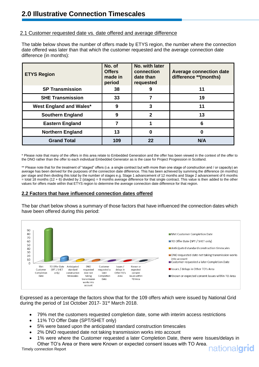#### 2.1 Customer requested date vs. date offered and average difference

The table below shows the number of offers made by ETYS region, the number where the connection date offered was later than that which the customer requested and the average connection date difference (in months):

| <b>ETYS Region</b>             | No. of<br><b>Offers</b><br>made in<br>period | No. with later<br>connection<br>date than<br>requested | <b>Average connection date</b><br>difference **(months) |
|--------------------------------|----------------------------------------------|--------------------------------------------------------|---------------------------------------------------------|
| <b>SP Transmission</b>         | 38                                           | 9                                                      | 11                                                      |
| <b>SHE Transmission</b>        | 33                                           |                                                        | 19                                                      |
| <b>West England and Wales*</b> | 9                                            | 3                                                      | 11                                                      |
| <b>Southern England</b>        | 9                                            | 2                                                      | 13                                                      |
| <b>Eastern England</b>         |                                              |                                                        | 6                                                       |
| <b>Northern England</b>        | 13                                           | O                                                      | ŋ                                                       |
| <b>Grand Total</b>             | 109                                          | 22                                                     | N/A                                                     |

\* Please note that many of the offers in this area relate to Embedded Generation and the offer has been viewed in the context of the offer to the DNO rather than the offer to each individual Embedded Generator as is the case for Project Progression in Scotland.

\*\* Please note that for the treatment of "staged" offers (i.e. a single contract but with more than one stage of construction and / or capacity) an average has been derived for the purposes of the connection date difference. This has been achieved by summing the difference (in months) per stage and then dividing this total by the number of stages e.g. Stage 1 advancement of 12 months and Stage 2 advancement of 6 months  $=$  total 18 months (12 + 6) divided by 2 (stages)  $=$  9 months average difference for that single contract. This value is then added to the other values for offers made within that ETYS region to determine the average connection date difference for that region.

#### **2.2 Factors that have influenced connection dates offered**

The bar chart below shows a summary of those factors that have influenced the connection dates which have been offered during this period:



Expressed as a percentage the factors show that for the 109 offers which were issued by National Grid during the period of 1st October 2017- 31<sup>st</sup> March 2018.

- 79% met the customers requested completion date, some with interim access restrictions
- 11% TO Offer Date (SPT/SHET only)
- 5% were based upon the anticipated standard construction timescales
- 2% DNO requested date not taking transmission works into account
- 1% were where the Customer requested a later Completion Date, there were Issues/delays in Other TO's Area or there were Known or expected consent issues with TO Area.

### nationalarid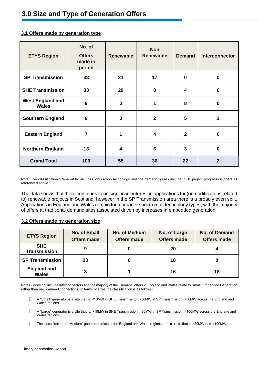| <b>ETYS Region</b>                      | No. of<br><b>Offers</b><br>made in<br>period | <b>Renewable</b>        | <b>Non</b><br><b>Renewable</b> | <b>Demand</b>  | Interconnector |
|-----------------------------------------|----------------------------------------------|-------------------------|--------------------------------|----------------|----------------|
| <b>SP Transmission</b>                  | 38                                           | 21                      | 17                             | $\bf{0}$       | $\bf{0}$       |
| <b>SHE Transmission</b>                 | 33                                           | 29                      | $\bf{0}$                       | 4              | $\bf{0}$       |
| <b>West England and</b><br><b>Wales</b> | 9                                            | $\bf{0}$                | 1                              | 8              | $\bf{0}$       |
| <b>Southern England</b>                 | 9                                            | $\boldsymbol{0}$        | $\mathbf{2}$                   | $5\phantom{1}$ | $\overline{2}$ |
| <b>Eastern England</b>                  | $\overline{\mathbf{r}}$                      | 1                       | 4                              | $\overline{2}$ | $\bf{0}$       |
| <b>Northern England</b>                 | 13                                           | $\overline{\mathbf{4}}$ | $6\phantom{1}6$                | 3              | $\bf{0}$       |
| <b>Grand Total</b>                      | 109                                          | 55                      | 30                             | 22             | $\overline{2}$ |

#### **3.1 Offers made by generation type**

Note: The classification "Renewable" includes low carbon technology and the demand figures include 'bulk' project progression offers as referenced above.

The data shows that there continues to be significant interest in applications for (or modifications related to) renewable projects in Scotland, however in the SP Transmission area there is a broadly even split. Applications in England and Wales remain for a broader spectrum of technology types, with the majority of offers at traditional demand sites associated driven by increases in embedded generation.

#### **3.2 Offers made by generation size**

| <b>ETYS Region</b>                 | <b>No. of Small</b><br><b>Offers made</b> | No. of Medium<br><b>Offers made</b> | No. of Large<br><b>Offers made</b> | <b>No. of Demand</b><br><b>Offers made</b> |
|------------------------------------|-------------------------------------------|-------------------------------------|------------------------------------|--------------------------------------------|
| <b>SHE</b><br><b>Transmission</b>  | 9                                         |                                     | 20                                 |                                            |
| <b>SP Transmission</b>             | 20                                        |                                     | 18                                 |                                            |
| <b>England and</b><br><b>Wales</b> | 3                                         |                                     | 16                                 | 18                                         |

Notes - does not include interconnectors and the majority of the 'Demand' offers in England and Wales relate to 'small' Embedded Generation rather than new demand connections. In terms of sizes the classification is as follows:

- A "Small" generator is a site that is: <10MW in SHE Transmission, <30MW in SP Transmission, <50MW across the England and  $\Box$ Wales regions.
- A "Large" generator is a site that is: >10MW in SHE Transmission, >30MW in SP Transmission, >100MW across the England and  $\Box$ Wales regions.
- The classification of "Medium" generator exists in the England and Wales regions and is a site that is >50MW and <100MW.